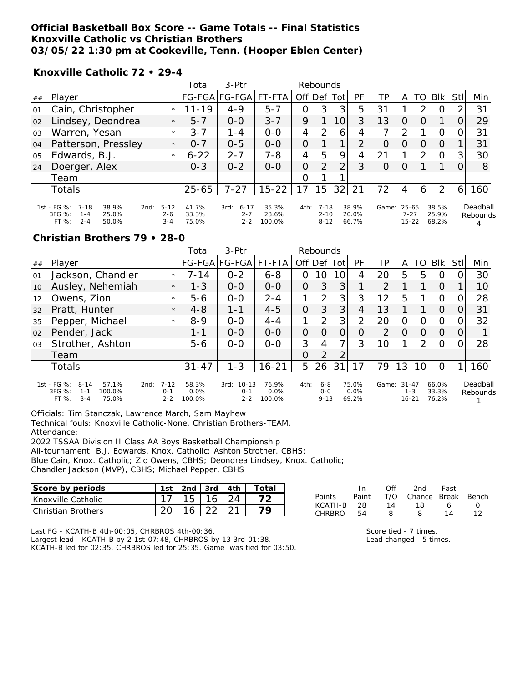## **Official Basketball Box Score -- Game Totals -- Final Statistics Knoxville Catholic vs Christian Brothers 03/05/22 1:30 pm at Cookeville, Tenn. (Hooper Eblen Center)**

**Knoxville Catholic 72 • 29-4**

|                |                                                                                                     |                                | Total                   | $3-Ptr$                                |                          | Rebounds |                                  |      |                         |       |                                    |                  |                         |                |                      |
|----------------|-----------------------------------------------------------------------------------------------------|--------------------------------|-------------------------|----------------------------------------|--------------------------|----------|----------------------------------|------|-------------------------|-------|------------------------------------|------------------|-------------------------|----------------|----------------------|
| ##             | Plaver                                                                                              |                                |                         | FG-FGA FG-FGA                          | FT-FTA                   | Off Def  |                                  | Totl | <b>PF</b>               | TPI   | A                                  | TO               | <b>BIK</b>              | Stll           | Min                  |
| 01             | Cain, Christopher                                                                                   | $\star$                        | $11 - 19$               | $4 - 9$                                | $5 - 7$                  | O        | 3                                | 3    | 5                       | 31    |                                    | っ                | O                       | $\overline{2}$ | 31                   |
| 02             | Lindsey, Deondrea                                                                                   | $\star$                        | $5 - 7$                 | $0 - 0$                                | $3 - 7$                  | 9        |                                  | 10   | 3                       | 13    | O                                  | $\left( \right)$ |                         |                | 29                   |
| 03             | Warren, Yesan                                                                                       | $\star$                        | $3 - 7$                 | $1 - 4$                                | $0-0$                    | 4        | $\mathcal{P}$                    | 6    | 4                       |       | っ                                  |                  | Ω                       | O              | 31                   |
| 04             | Patterson, Pressley                                                                                 | $\star$                        | $O - 7$                 | $0 - 5$                                | $0 - 0$                  | $\Omega$ |                                  | 1    | $\mathcal{P}$           | O     | O                                  | $\left( \right)$ | $\Omega$                |                | 31                   |
| 0 <sub>5</sub> | Edwards, B.J.                                                                                       | $\star$                        | $6 - 22$                | $2 - 7$                                | $7 - 8$                  | 4        | 5                                | 9    | 4                       | 21    |                                    | $\mathcal{P}$    | $\circ$                 | 31             | 30                   |
| 24             | Doerger, Alex                                                                                       |                                | $0 - 3$                 | $0 - 2$                                | $0 - 0$                  | $\Omega$ | $\mathcal{P}$                    | 2    | 3                       |       | O                                  |                  |                         | 0              | 8                    |
|                | Team                                                                                                |                                |                         |                                        |                          | $\Omega$ |                                  |      |                         |       |                                    |                  |                         |                |                      |
|                | <b>Totals</b>                                                                                       |                                | $25 - 65$               | $7 - 27$                               | $15 - 22$                | 17       | 15                               | 32   | 21                      | 72    | 4                                  | 6                | 2                       | 6 I            | 160                  |
|                | 1st - FG %:<br>7-18<br>38.9%<br>2nd:<br>$3FG \%$ :<br>25.0%<br>$1 - 4$<br>$2 - 4$<br>FT %:<br>50.0% | $5 - 12$<br>$2 - 6$<br>$3 - 4$ | 41.7%<br>33.3%<br>75.0% | 3rd:<br>$6 - 17$<br>$2 - 7$<br>$2 - 2$ | 35.3%<br>28.6%<br>100.0% | 4th:     | $7 - 18$<br>$2 - 10$<br>$8 - 12$ |      | 38.9%<br>20.0%<br>66.7% | Game: | $25 - 65$<br>$7 - 27$<br>$15 - 22$ |                  | 38.5%<br>25.9%<br>68.2% |                | Deadball<br>Rebounds |

#### **Christian Brothers 79 • 28-0**

|                |                                                                                       |                                        | Total                   | $3-Ptr$                                 |                         |                | Rebounds                       |          |                        |                 |                                   |               |                         |          |                      |
|----------------|---------------------------------------------------------------------------------------|----------------------------------------|-------------------------|-----------------------------------------|-------------------------|----------------|--------------------------------|----------|------------------------|-----------------|-----------------------------------|---------------|-------------------------|----------|----------------------|
| ##             | Player                                                                                |                                        |                         | FG-FGA FG-FGA                           | FT-FTA                  |                | Off Def                        | Tot      | <b>PF</b>              | TР              | A                                 | TO.           | <b>BIK</b>              | Stll     | Min                  |
| 01             | Jackson, Chandler                                                                     | $\star$                                | 7-14                    | $0 - 2$                                 | $6 - 8$                 | $\Omega$       | 10                             | 10       | 4                      | 20              | 5                                 | 5             | O                       | $\Omega$ | 30                   |
| 10             | Ausley, Nehemiah                                                                      | $\star$                                | $1 - 3$                 | $0 - 0$                                 | $0 - 0$                 | $\overline{O}$ | 3                              | 3        |                        | 2               |                                   |               | $\Omega$                |          | 10                   |
| 12             | Owens, Zion                                                                           | $\star$                                | $5 - 6$                 | $0 - 0$                                 | $2 - 4$                 |                | $\mathcal{P}$                  | 3        | 3                      | 12              | 5                                 |               | $\Omega$                |          | 28                   |
| 32             | Pratt, Hunter                                                                         | $\star$                                | $4 - 8$                 | $1 - 1$                                 | $4 - 5$                 | $\Omega$       | 3                              | 3        | 4                      | 13 <sub>l</sub> |                                   |               | $\Omega$                | $\Omega$ | 31                   |
| 35             | Pepper, Michael                                                                       | $\star$                                | $8 - 9$                 | $0 - 0$                                 | $4 - 4$                 |                | $\mathcal{P}$                  | 3        | $\overline{2}$         | 20              | O                                 | Ω             | $\circ$                 | 0        | 32                   |
| 02             | Pender, Jack                                                                          |                                        | $1 - 1$                 | $0 - 0$                                 | $0 - 0$                 | $\Omega$       | $\Omega$                       | $\Omega$ | $\Omega$               | 2               | $\Omega$                          | $\Omega$      | $\Omega$                | 0        |                      |
| 0 <sub>3</sub> | Strother, Ashton                                                                      |                                        | $5 - 6$                 | $0 - 0$                                 | $0 - 0$                 | 3              | 4                              | 7        | 3                      | 10              |                                   | $\mathcal{D}$ | $\Omega$                |          | 28                   |
|                | Team                                                                                  |                                        |                         |                                         |                         | $\Omega$       | $\overline{2}$                 | 2        |                        |                 |                                   |               |                         |          |                      |
|                | <b>Totals</b>                                                                         |                                        | $31 - 47$               | $1 - 3$                                 | $16 - 21$               | 5              | 26                             | 31       | 17                     | 79              | 13                                | 10            | O                       |          | 160                  |
|                | 1st - FG %: 8-14<br>57.1%<br>3FG %:<br>100.0%<br>$1 - 1$<br>75.0%<br>$3 - 4$<br>FT %: | $7 - 12$<br>2nd:<br>$0 - 1$<br>$2 - 2$ | 58.3%<br>0.0%<br>100.0% | $10 - 13$<br>3rd:<br>$0 - 1$<br>$2 - 2$ | 76.9%<br>0.0%<br>100.0% | 4th:           | $6 - 8$<br>$0 - 0$<br>$9 - 13$ |          | 75.0%<br>0.0%<br>69.2% | Game:           | $31 - 47$<br>$1 - 3$<br>$16 - 21$ |               | 66.0%<br>33.3%<br>76.2% |          | Deadball<br>Rebounds |

Officials: Tim Stanczak, Lawrence March, Sam Mayhew Technical fouls: Knoxville Catholic-None. Christian Brothers-TEAM.

Attendance:

2022 TSSAA Division II Class AA Boys Basketball Championship

All-tournament: B.J. Edwards, Knox. Catholic; Ashton Strother, CBHS;

Blue Cain, Knox. Catholic; Zio Owens, CBHS; Deondrea Lindsey, Knox. Catholic;

Chandler Jackson (MVP), CBHS; Michael Pepper, CBHS

| Score by periods           | 1st |       | 2nd $\sqrt{3}$ rd $\sqrt{4}$ th | Total |
|----------------------------|-----|-------|---------------------------------|-------|
| Knoxville Catholic         |     | 15 16 | 24                              |       |
| <b>IChristian Brothers</b> |     |       |                                 |       |

In Off 2nd Fast<br>Paint T/O Chance Break Points Paint T/O Chance Break Bench KCATH-B 28 14 18 6 0 CHRBRO 54 8 8 14 12

Last FG - KCATH-B 4th-00:05, CHRBROS 4th-00:36.

Largest lead - KCATH-B by 2 1st-07:48, CHRBROS by 13 3rd-01:38. KCATH-B led for 02:35. CHRBROS led for 25:35. Game was tied for 03:50.

Score tied - 7 times. Lead changed - 5 times.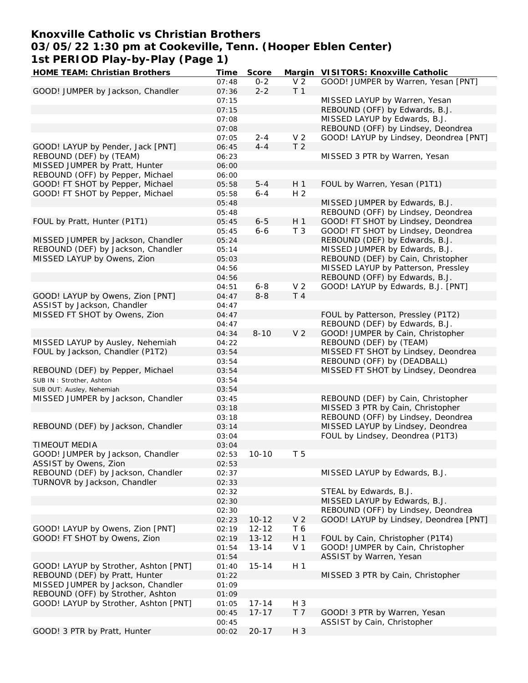## **Knoxville Catholic vs Christian Brothers**

**03/05/22 1:30 pm at Cookeville, Tenn. (Hooper Eblen Center)**

**1st PERIOD Play-by-Play (Page 1) HOME TEAM: Christian Brothers Time Score Margin VISITORS: Knoxville Catholic**

| HOME TEAM. CHITSURIT BIOLIEIS         | <u>HILE</u> | JUUL E    | iviai yli L    | VI SI TORS. NIIOXVIIIE CALIIOIIC       |
|---------------------------------------|-------------|-----------|----------------|----------------------------------------|
|                                       | 07:48       | $0 - 2$   | V <sub>2</sub> | GOOD! JUMPER by Warren, Yesan [PNT]    |
| GOOD! JUMPER by Jackson, Chandler     | 07:36       | $2 - 2$   | T <sub>1</sub> |                                        |
|                                       | 07:15       |           |                | MISSED LAYUP by Warren, Yesan          |
|                                       |             |           |                |                                        |
|                                       | 07:15       |           |                | REBOUND (OFF) by Edwards, B.J.         |
|                                       | 07:08       |           |                | MISSED LAYUP by Edwards, B.J.          |
|                                       | 07:08       |           |                | REBOUND (OFF) by Lindsey, Deondrea     |
|                                       | 07:05       | $2 - 4$   | V <sub>2</sub> | GOOD! LAYUP by Lindsey, Deondrea [PNT] |
|                                       |             |           |                |                                        |
| GOOD! LAYUP by Pender, Jack [PNT]     | 06:45       | $4 - 4$   | T <sub>2</sub> |                                        |
| REBOUND (DEF) by (TEAM)               | 06:23       |           |                | MISSED 3 PTR by Warren, Yesan          |
| MISSED JUMPER by Pratt, Hunter        | 06:00       |           |                |                                        |
| REBOUND (OFF) by Pepper, Michael      | 06:00       |           |                |                                        |
|                                       |             |           |                |                                        |
| GOOD! FT SHOT by Pepper, Michael      | 05:58       | $5 - 4$   | H <sub>1</sub> | FOUL by Warren, Yesan (P1T1)           |
| GOOD! FT SHOT by Pepper, Michael      | 05:58       | $6 - 4$   | H <sub>2</sub> |                                        |
|                                       | 05:48       |           |                | MISSED JUMPER by Edwards, B.J.         |
|                                       | 05:48       |           |                | REBOUND (OFF) by Lindsey, Deondrea     |
|                                       |             |           |                |                                        |
| FOUL by Pratt, Hunter (P1T1)          | 05:45       | $6 - 5$   | H <sub>1</sub> | GOOD! FT SHOT by Lindsey, Deondrea     |
|                                       | 05:45       | $6 - 6$   | T <sub>3</sub> | GOOD! FT SHOT by Lindsey, Deondrea     |
| MISSED JUMPER by Jackson, Chandler    | 05:24       |           |                | REBOUND (DEF) by Edwards, B.J.         |
| REBOUND (DEF) by Jackson, Chandler    | 05:14       |           |                | MISSED JUMPER by Edwards, B.J.         |
|                                       |             |           |                |                                        |
| MISSED LAYUP by Owens, Zion           | 05:03       |           |                | REBOUND (DEF) by Cain, Christopher     |
|                                       | 04:56       |           |                | MISSED LAYUP by Patterson, Pressley    |
|                                       | 04:56       |           |                | REBOUND (OFF) by Edwards, B.J.         |
|                                       |             | $6 - 8$   | V <sub>2</sub> | GOOD! LAYUP by Edwards, B.J. [PNT]     |
|                                       | 04:51       |           |                |                                        |
| GOOD! LAYUP by Owens, Zion [PNT]      | 04:47       | $8 - 8$   | T 4            |                                        |
| ASSIST by Jackson, Chandler           | 04:47       |           |                |                                        |
| MISSED FT SHOT by Owens, Zion         | 04:47       |           |                | FOUL by Patterson, Pressley (P1T2)     |
|                                       |             |           |                |                                        |
|                                       | 04:47       |           |                | REBOUND (DEF) by Edwards, B.J.         |
|                                       | 04:34       | $8 - 10$  | V <sub>2</sub> | GOOD! JUMPER by Cain, Christopher      |
| MISSED LAYUP by Ausley, Nehemiah      | 04:22       |           |                | REBOUND (DEF) by (TEAM)                |
| FOUL by Jackson, Chandler (P1T2)      | 03:54       |           |                | MISSED FT SHOT by Lindsey, Deondrea    |
|                                       |             |           |                |                                        |
|                                       | 03:54       |           |                | REBOUND (OFF) by (DEADBALL)            |
| REBOUND (DEF) by Pepper, Michael      | 03:54       |           |                | MISSED FT SHOT by Lindsey, Deondrea    |
| SUB IN: Strother, Ashton              | 03:54       |           |                |                                        |
| SUB OUT: Ausley, Nehemiah             | 03:54       |           |                |                                        |
|                                       |             |           |                |                                        |
| MISSED JUMPER by Jackson, Chandler    | 03:45       |           |                | REBOUND (DEF) by Cain, Christopher     |
|                                       | 03:18       |           |                | MISSED 3 PTR by Cain, Christopher      |
|                                       | 03:18       |           |                | REBOUND (OFF) by Lindsey, Deondrea     |
| REBOUND (DEF) by Jackson, Chandler    | 03:14       |           |                | MISSED LAYUP by Lindsey, Deondrea      |
|                                       |             |           |                |                                        |
|                                       | 03:04       |           |                | FOUL by Lindsey, Deondrea (P1T3)       |
| <b>TIMEOUT MEDIA</b>                  | 03:04       |           |                |                                        |
| GOOD! JUMPER by Jackson, Chandler     | 02:53       | $10 - 10$ | T <sub>5</sub> |                                        |
| ASSIST by Owens, Zion                 | 02:53       |           |                |                                        |
|                                       |             |           |                |                                        |
| REBOUND (DEF) by Jackson, Chandler    | 02:37       |           |                | MISSED LAYUP by Edwards, B.J.          |
| TURNOVR by Jackson, Chandler          | 02:33       |           |                |                                        |
|                                       | 02:32       |           |                | STEAL by Edwards, B.J.                 |
|                                       |             |           |                |                                        |
|                                       | 02:30       |           |                | MISSED LAYUP by Edwards, B.J.          |
|                                       | 02:30       |           |                | REBOUND (OFF) by Lindsey, Deondrea     |
|                                       | 02:23       | $10 - 12$ | V <sub>2</sub> | GOOD! LAYUP by Lindsey, Deondrea [PNT] |
| GOOD! LAYUP by Owens, Zion [PNT]      | 02:19       | $12 - 12$ | T 6            |                                        |
|                                       |             |           |                |                                        |
| GOOD! FT SHOT by Owens, Zion          | 02:19       | $13 - 12$ | H <sub>1</sub> | FOUL by Cain, Christopher (P1T4)       |
|                                       | 01:54       | $13 - 14$ | V <sub>1</sub> | GOOD! JUMPER by Cain, Christopher      |
|                                       | 01:54       |           |                | ASSIST by Warren, Yesan                |
| GOOD! LAYUP by Strother, Ashton [PNT] | 01:40       | $15 - 14$ | H <sub>1</sub> |                                        |
|                                       |             |           |                |                                        |
| REBOUND (DEF) by Pratt, Hunter        | 01:22       |           |                | MISSED 3 PTR by Cain, Christopher      |
| MISSED JUMPER by Jackson, Chandler    | 01:09       |           |                |                                        |
| REBOUND (OFF) by Strother, Ashton     | 01:09       |           |                |                                        |
|                                       |             |           |                |                                        |
| GOOD! LAYUP by Strother, Ashton [PNT] | 01:05       | $17 - 14$ | H 3            |                                        |
|                                       | 00:45       | $17 - 17$ | T 7            | GOOD! 3 PTR by Warren, Yesan           |
|                                       | 00:45       |           |                | ASSIST by Cain, Christopher            |
| GOOD! 3 PTR by Pratt, Hunter          | 00:02       | $20 - 17$ | H 3            |                                        |
|                                       |             |           |                |                                        |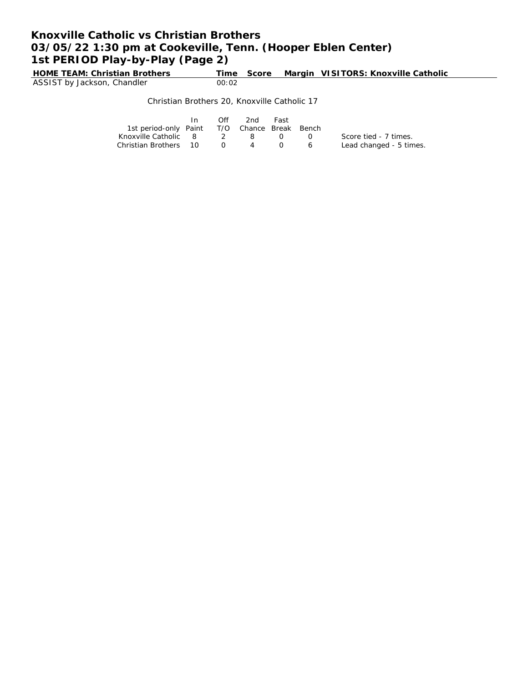## **Knoxville Catholic vs Christian Brothers 03/05/22 1:30 pm at Cookeville, Tenn. (Hooper Eblen Center) 1st PERIOD Play-by-Play (Page 2)**

**Hime Score Margin VISITORS: Knoxville Catholic** HOME TEAM: Christian Brothers Time<br>ASSIST by Jackson, Chandler 00:02

#### Christian Brothers 20, Knoxville Catholic 17

|                                              | Off | 2nd            | Fast |                |                         |
|----------------------------------------------|-----|----------------|------|----------------|-------------------------|
| 1st period-only Paint T/O Chance Break Bench |     |                |      |                |                         |
| Knoxville Catholic 8 2 8 0                   |     |                |      | $\mathbf{O}$   | Score tied - 7 times.   |
| Christian Brothers 10 0                      |     | $\overline{A}$ |      | $\overline{a}$ | Lead changed - 5 times. |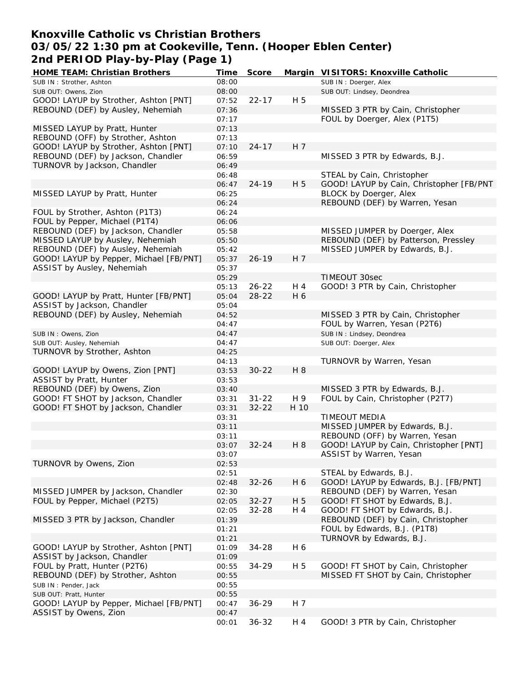## **Knoxville Catholic vs Christian Brothers 03/05/22 1:30 pm at Cookeville, Tenn. (Hooper Eblen Center) 2nd PERIOD Play-by-Play (Page 1)**

| HOME TEAM: Christian Brothers           | Time  | Score     |      | Margin VISITORS: Knoxville Catholic      |
|-----------------------------------------|-------|-----------|------|------------------------------------------|
| SUB IN: Strother, Ashton                | 08:00 |           |      | SUB IN: Doerger, Alex                    |
| SUB OUT: Owens, Zion                    | 08:00 |           |      | SUB OUT: Lindsey, Deondrea               |
| GOOD! LAYUP by Strother, Ashton [PNT]   | 07:52 | $22 - 17$ | H 5  |                                          |
| REBOUND (DEF) by Ausley, Nehemiah       | 07:36 |           |      | MISSED 3 PTR by Cain, Christopher        |
|                                         | 07:17 |           |      | FOUL by Doerger, Alex (P1T5)             |
| MISSED LAYUP by Pratt, Hunter           | 07:13 |           |      |                                          |
| REBOUND (OFF) by Strother, Ashton       | 07:13 |           |      |                                          |
| GOOD! LAYUP by Strother, Ashton [PNT]   | 07:10 | $24 - 17$ | H 7  |                                          |
| REBOUND (DEF) by Jackson, Chandler      | 06:59 |           |      | MISSED 3 PTR by Edwards, B.J.            |
| TURNOVR by Jackson, Chandler            | 06:49 |           |      |                                          |
|                                         | 06:48 |           |      | STEAL by Cain, Christopher               |
|                                         | 06:47 | $24 - 19$ | H 5  | GOOD! LAYUP by Cain, Christopher [FB/PNT |
| MISSED LAYUP by Pratt, Hunter           | 06:25 |           |      | BLOCK by Doerger, Alex                   |
|                                         | 06:24 |           |      | REBOUND (DEF) by Warren, Yesan           |
| FOUL by Strother, Ashton (P1T3)         | 06:24 |           |      |                                          |
| FOUL by Pepper, Michael (P1T4)          | 06:06 |           |      |                                          |
| REBOUND (DEF) by Jackson, Chandler      | 05:58 |           |      | MISSED JUMPER by Doerger, Alex           |
| MISSED LAYUP by Ausley, Nehemiah        | 05:50 |           |      | REBOUND (DEF) by Patterson, Pressley     |
| REBOUND (DEF) by Ausley, Nehemiah       | 05:42 |           |      | MISSED JUMPER by Edwards, B.J.           |
| GOOD! LAYUP by Pepper, Michael [FB/PNT] | 05:37 | $26 - 19$ | H 7  |                                          |
| ASSIST by Ausley, Nehemiah              | 05:37 |           |      |                                          |
|                                         | 05:29 |           |      | TIMEOUT 30sec                            |
|                                         | 05:13 | $26 - 22$ | H 4  | GOOD! 3 PTR by Cain, Christopher         |
| GOOD! LAYUP by Pratt, Hunter [FB/PNT]   | 05:04 | $28 - 22$ | H 6  |                                          |
| ASSIST by Jackson, Chandler             | 05:04 |           |      |                                          |
| REBOUND (DEF) by Ausley, Nehemiah       | 04:52 |           |      | MISSED 3 PTR by Cain, Christopher        |
|                                         | 04:47 |           |      | FOUL by Warren, Yesan (P2T6)             |
| SUB IN: Owens, Zion                     | 04:47 |           |      | SUB IN: Lindsey, Deondrea                |
| SUB OUT: Ausley, Nehemiah               | 04:47 |           |      | SUB OUT: Doerger, Alex                   |
| TURNOVR by Strother, Ashton             | 04:25 |           |      |                                          |
|                                         | 04:13 |           |      | TURNOVR by Warren, Yesan                 |
| GOOD! LAYUP by Owens, Zion [PNT]        | 03:53 | $30 - 22$ | H 8  |                                          |
| ASSIST by Pratt, Hunter                 | 03:53 |           |      |                                          |
| REBOUND (DEF) by Owens, Zion            | 03:40 |           |      | MISSED 3 PTR by Edwards, B.J.            |
| GOOD! FT SHOT by Jackson, Chandler      | 03:31 | $31 - 22$ | H 9  | FOUL by Cain, Christopher (P2T7)         |
| GOOD! FT SHOT by Jackson, Chandler      | 03:31 | $32 - 22$ | H 10 |                                          |
|                                         | 03:31 |           |      | TIMEOUT MEDIA                            |
|                                         | 03:11 |           |      | MISSED JUMPER by Edwards, B.J.           |
|                                         | 03:11 |           |      | REBOUND (OFF) by Warren, Yesan           |
|                                         | 03:07 | $32 - 24$ | H 8  | GOOD! LAYUP by Cain, Christopher [PNT]   |
|                                         | 03:07 |           |      | ASSIST by Warren, Yesan                  |
| TURNOVR by Owens, Zion                  | 02:53 |           |      |                                          |
|                                         | 02:51 |           |      | STEAL by Edwards, B.J.                   |
|                                         | 02:48 | $32 - 26$ | H 6  | GOOD! LAYUP by Edwards, B.J. [FB/PNT]    |
| MISSED JUMPER by Jackson, Chandler      | 02:30 |           |      | REBOUND (DEF) by Warren, Yesan           |
| FOUL by Pepper, Michael (P2T5)          | 02:05 | $32 - 27$ | H 5  | GOOD! FT SHOT by Edwards, B.J.           |
|                                         | 02:05 | 32-28     | H 4  | GOOD! FT SHOT by Edwards, B.J.           |
| MISSED 3 PTR by Jackson, Chandler       | 01:39 |           |      | REBOUND (DEF) by Cain, Christopher       |
|                                         | 01:21 |           |      | FOUL by Edwards, B.J. (P1T8)             |
|                                         | 01:21 |           |      | TURNOVR by Edwards, B.J.                 |
| GOOD! LAYUP by Strother, Ashton [PNT]   | 01:09 | $34 - 28$ | H 6  |                                          |
| ASSIST by Jackson, Chandler             | 01:09 |           |      |                                          |
| FOUL by Pratt, Hunter (P2T6)            | 00:55 | 34-29     | H 5  | GOOD! FT SHOT by Cain, Christopher       |
| REBOUND (DEF) by Strother, Ashton       | 00:55 |           |      | MISSED FT SHOT by Cain, Christopher      |
| SUB IN: Pender, Jack                    | 00:55 |           |      |                                          |
| SUB OUT: Pratt, Hunter                  | 00:55 |           |      |                                          |
| GOOD! LAYUP by Pepper, Michael [FB/PNT] | 00:47 | 36-29     | H 7  |                                          |
| ASSIST by Owens, Zion                   | 00:47 |           |      |                                          |
|                                         | 00:01 | $36 - 32$ | H 4  | GOOD! 3 PTR by Cain, Christopher         |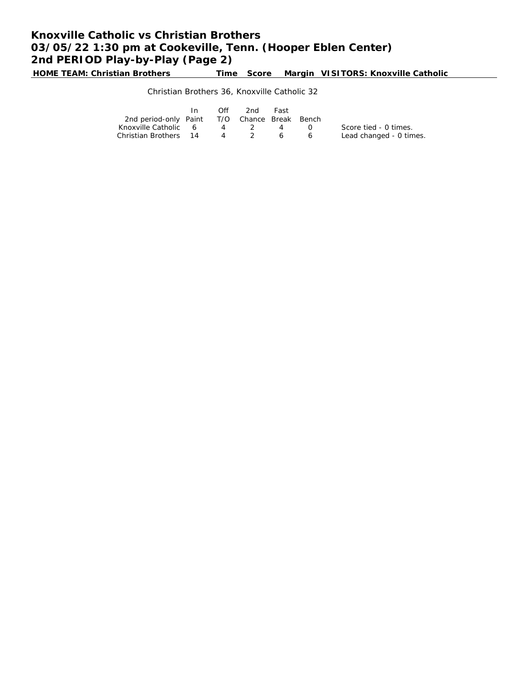# **Knoxville Catholic vs Christian Brothers 03/05/22 1:30 pm at Cookeville, Tenn. (Hooper Eblen Center) 2nd PERIOD Play-by-Play (Page 2)**

**HOME TEAM: Christian Brothers Time Score Margin VISITORS: Knoxville Catholic**

### Christian Brothers 36, Knoxville Catholic 32

|                                              | $\mathsf{In}$ | Off | -2nd  | Fast |                  |                         |
|----------------------------------------------|---------------|-----|-------|------|------------------|-------------------------|
| 2nd period-only Paint T/O Chance Break Bench |               |     |       |      |                  |                         |
| Knoxville Catholic 6                         |               |     | 4 2 4 |      | $\left( \right)$ | Score tied - 0 times.   |
| Christian Brothers 14 4 2 6 6                |               |     |       |      |                  | Lead changed - 0 times. |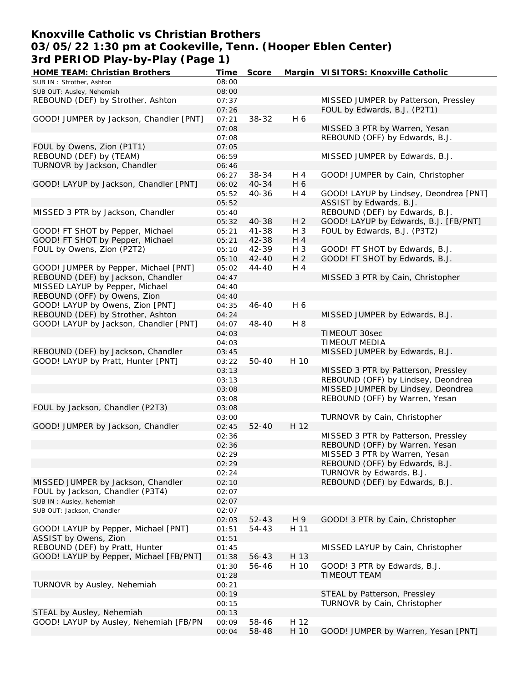## **Knoxville Catholic vs Christian Brothers 03/05/22 1:30 pm at Cookeville, Tenn. (Hooper Eblen Center) 3rd PERIOD Play-by-Play (Page 1)**

| HOME TEAM: Christian Brothers           | Time  | Score     |                | Margin VISITORS: Knoxville Catholic    |
|-----------------------------------------|-------|-----------|----------------|----------------------------------------|
| SUB IN: Strother, Ashton                | 08:00 |           |                |                                        |
| SUB OUT: Ausley, Nehemiah               | 08:00 |           |                |                                        |
| REBOUND (DEF) by Strother, Ashton       | 07:37 |           |                | MISSED JUMPER by Patterson, Pressley   |
|                                         | 07:26 |           |                | FOUL by Edwards, B.J. (P2T1)           |
| GOOD! JUMPER by Jackson, Chandler [PNT] | 07:21 | 38-32     | H 6            |                                        |
|                                         | 07:08 |           |                | MISSED 3 PTR by Warren, Yesan          |
|                                         | 07:08 |           |                | REBOUND (OFF) by Edwards, B.J.         |
| FOUL by Owens, Zion (P1T1)              | 07:05 |           |                |                                        |
| REBOUND (DEF) by (TEAM)                 | 06:59 |           |                | MISSED JUMPER by Edwards, B.J.         |
| TURNOVR by Jackson, Chandler            | 06:46 |           |                |                                        |
|                                         | 06:27 |           |                | GOOD! JUMPER by Cain, Christopher      |
| GOOD! LAYUP by Jackson, Chandler [PNT]  |       | 38-34     | H 4            |                                        |
|                                         | 06:02 | $40 - 34$ | H 6            |                                        |
|                                         | 05:52 | 40-36     | H 4            | GOOD! LAYUP by Lindsey, Deondrea [PNT] |
|                                         | 05:52 |           |                | ASSIST by Edwards, B.J.                |
| MISSED 3 PTR by Jackson, Chandler       | 05:40 |           |                | REBOUND (DEF) by Edwards, B.J.         |
|                                         | 05:32 | 40-38     | H <sub>2</sub> | GOOD! LAYUP by Edwards, B.J. [FB/PNT]  |
| GOOD! FT SHOT by Pepper, Michael        | 05:21 | 41-38     | H 3            | FOUL by Edwards, B.J. (P3T2)           |
| GOOD! FT SHOT by Pepper, Michael        | 05:21 | 42-38     | H 4            |                                        |
| FOUL by Owens, Zion (P2T2)              | 05:10 | 42-39     | $H_3$          | GOOD! FT SHOT by Edwards, B.J.         |
|                                         | 05:10 | $42 - 40$ | H <sub>2</sub> | GOOD! FT SHOT by Edwards, B.J.         |
| GOOD! JUMPER by Pepper, Michael [PNT]   | 05:02 | $44 - 40$ | H 4            |                                        |
| REBOUND (DEF) by Jackson, Chandler      | 04:47 |           |                | MISSED 3 PTR by Cain, Christopher      |
| MISSED LAYUP by Pepper, Michael         | 04:40 |           |                |                                        |
| REBOUND (OFF) by Owens, Zion            | 04:40 |           |                |                                        |
| GOOD! LAYUP by Owens, Zion [PNT]        | 04:35 | $46 - 40$ | H 6            |                                        |
| REBOUND (DEF) by Strother, Ashton       | 04:24 |           |                | MISSED JUMPER by Edwards, B.J.         |
| GOOD! LAYUP by Jackson, Chandler [PNT]  | 04:07 | 48-40     | H 8            |                                        |
|                                         | 04:03 |           |                | TIMEOUT 30sec                          |
|                                         | 04:03 |           |                | TIMEOUT MEDIA                          |
|                                         |       |           |                |                                        |
| REBOUND (DEF) by Jackson, Chandler      | 03:45 |           |                | MISSED JUMPER by Edwards, B.J.         |
| GOOD! LAYUP by Pratt, Hunter [PNT]      | 03:22 | $50 - 40$ | H 10           |                                        |
|                                         | 03:13 |           |                | MISSED 3 PTR by Patterson, Pressley    |
|                                         | 03:13 |           |                | REBOUND (OFF) by Lindsey, Deondrea     |
|                                         | 03:08 |           |                | MISSED JUMPER by Lindsey, Deondrea     |
|                                         | 03:08 |           |                | REBOUND (OFF) by Warren, Yesan         |
| FOUL by Jackson, Chandler (P2T3)        | 03:08 |           |                |                                        |
|                                         | 03:00 |           |                | TURNOVR by Cain, Christopher           |
| GOOD! JUMPER by Jackson, Chandler       | 02:45 | $52 - 40$ | H 12           |                                        |
|                                         | 02:36 |           |                | MISSED 3 PTR by Patterson, Pressley    |
|                                         | 02:36 |           |                | REBOUND (OFF) by Warren, Yesan         |
|                                         | 02:29 |           |                | MISSED 3 PTR by Warren, Yesan          |
|                                         | 02:29 |           |                | REBOUND (OFF) by Edwards, B.J.         |
|                                         | 02:24 |           |                | TURNOVR by Edwards, B.J.               |
| MISSED JUMPER by Jackson, Chandler      | 02:10 |           |                | REBOUND (DEF) by Edwards, B.J.         |
| FOUL by Jackson, Chandler (P3T4)        | 02:07 |           |                |                                        |
| SUB IN: Ausley, Nehemiah                | 02:07 |           |                |                                        |
| SUB OUT: Jackson, Chandler              | 02:07 |           |                |                                        |
|                                         | 02:03 | $52 - 43$ | H 9            | GOOD! 3 PTR by Cain, Christopher       |
| GOOD! LAYUP by Pepper, Michael [PNT]    | 01:51 | 54-43     | H 11           |                                        |
| ASSIST by Owens, Zion                   | 01:51 |           |                |                                        |
| REBOUND (DEF) by Pratt, Hunter          | 01:45 |           |                | MISSED LAYUP by Cain, Christopher      |
| GOOD! LAYUP by Pepper, Michael [FB/PNT] |       |           | H 13           |                                        |
|                                         | 01:38 | 56-43     |                |                                        |
|                                         | 01:30 | 56-46     | H 10           | GOOD! 3 PTR by Edwards, B.J.           |
|                                         | 01:28 |           |                | <b>TIMEOUT TEAM</b>                    |
| TURNOVR by Ausley, Nehemiah             | 00:21 |           |                |                                        |
|                                         | 00:19 |           |                | STEAL by Patterson, Pressley           |
|                                         | 00:15 |           |                | TURNOVR by Cain, Christopher           |
| STEAL by Ausley, Nehemiah               | 00:13 |           |                |                                        |
| GOOD! LAYUP by Ausley, Nehemiah [FB/PN  | 00:09 | 58-46     | H 12           |                                        |
|                                         | 00:04 | 58-48     | H 10           | GOOD! JUMPER by Warren, Yesan [PNT]    |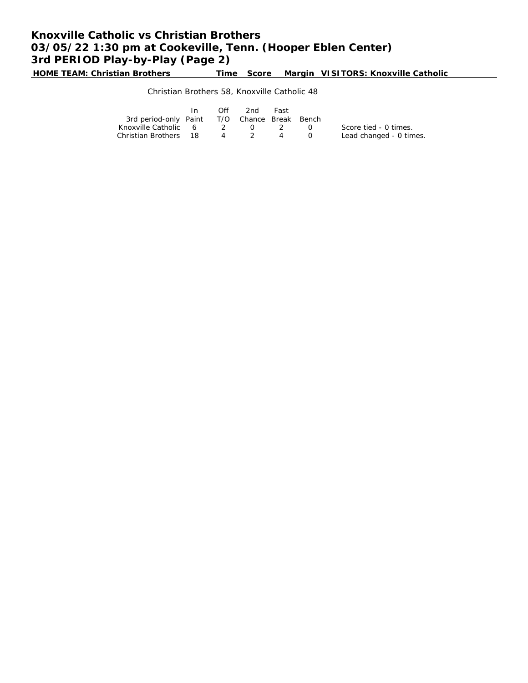# **Knoxville Catholic vs Christian Brothers 03/05/22 1:30 pm at Cookeville, Tenn. (Hooper Eblen Center) 3rd PERIOD Play-by-Play (Page 2)**

**HOME TEAM: Christian Brothers Time Score Margin VISITORS: Knoxville Catholic**

### Christian Brothers 58, Knoxville Catholic 48

|                                              | In In | Off | 2nd   | Fast                                   |           |                         |
|----------------------------------------------|-------|-----|-------|----------------------------------------|-----------|-------------------------|
| 3rd period-only Paint T/O Chance Break Bench |       |     |       |                                        |           |                         |
| Knoxville Catholic 6 2                       |       |     |       | $\begin{array}{ccc} 0 & 2 \end{array}$ | $\bigcap$ | Score tied - 0 times.   |
| Christian Brothers 18                        |       |     | 4 2 4 |                                        |           | Lead changed - 0 times. |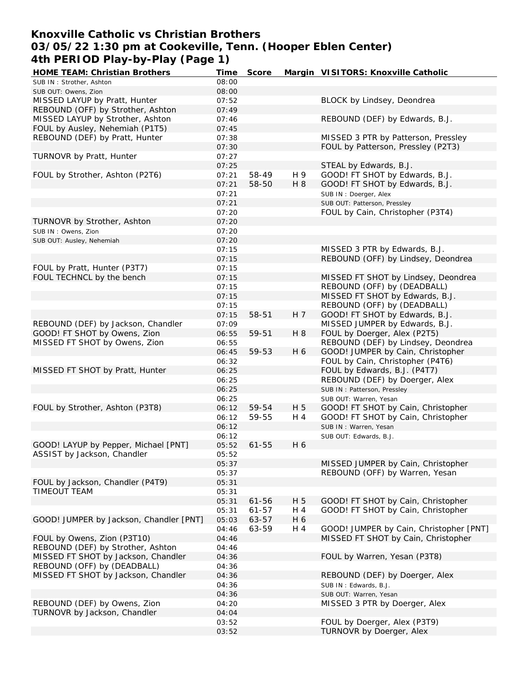## **Knoxville Catholic vs Christian Brothers 03/05/22 1:30 pm at Cookeville, Tenn. (Hooper Eblen Center) 4th PERIOD Play-by-Play (Page 1)**

| <b>HOME TEAM: Christian Brothers</b>               | Time           | Score                  |            | Margin VISITORS: Knoxville Catholic                                      |
|----------------------------------------------------|----------------|------------------------|------------|--------------------------------------------------------------------------|
| SUB IN: Strother, Ashton                           | 08:00          |                        |            |                                                                          |
| SUB OUT: Owens, Zion                               | 08:00          |                        |            |                                                                          |
| MISSED LAYUP by Pratt, Hunter                      | 07:52          |                        |            | BLOCK by Lindsey, Deondrea                                               |
| REBOUND (OFF) by Strother, Ashton                  | 07:49          |                        |            |                                                                          |
| MISSED LAYUP by Strother, Ashton                   | 07:46          |                        |            | REBOUND (DEF) by Edwards, B.J.                                           |
| FOUL by Ausley, Nehemiah (P1T5)                    | 07:45          |                        |            |                                                                          |
| REBOUND (DEF) by Pratt, Hunter                     | 07:38          |                        |            | MISSED 3 PTR by Patterson, Pressley                                      |
|                                                    | 07:30          |                        |            | FOUL by Patterson, Pressley (P2T3)                                       |
| TURNOVR by Pratt, Hunter                           | 07:27          |                        |            |                                                                          |
|                                                    | 07:25          |                        |            | STEAL by Edwards, B.J.                                                   |
| FOUL by Strother, Ashton (P2T6)                    | 07:21          | 58-49                  | H 9        | GOOD! FT SHOT by Edwards, B.J.                                           |
|                                                    | 07:21          | 58-50                  | H 8        | GOOD! FT SHOT by Edwards, B.J.                                           |
|                                                    | 07:21          |                        |            | SUB IN: Doerger, Alex                                                    |
|                                                    | 07:21          |                        |            | SUB OUT: Patterson, Pressley<br>FOUL by Cain, Christopher (P3T4)         |
|                                                    | 07:20          |                        |            |                                                                          |
| TURNOVR by Strother, Ashton<br>SUB IN: Owens, Zion | 07:20<br>07:20 |                        |            |                                                                          |
| SUB OUT: Ausley, Nehemiah                          | 07:20          |                        |            |                                                                          |
|                                                    | 07:15          |                        |            | MISSED 3 PTR by Edwards, B.J.                                            |
|                                                    | 07:15          |                        |            | REBOUND (OFF) by Lindsey, Deondrea                                       |
| FOUL by Pratt, Hunter (P3T7)                       | 07:15          |                        |            |                                                                          |
| FOUL TECHNCL by the bench                          | 07:15          |                        |            | MISSED FT SHOT by Lindsey, Deondrea                                      |
|                                                    | 07:15          |                        |            | REBOUND (OFF) by (DEADBALL)                                              |
|                                                    | 07:15          |                        |            | MISSED FT SHOT by Edwards, B.J.                                          |
|                                                    | 07:15          |                        |            | REBOUND (OFF) by (DEADBALL)                                              |
|                                                    | 07:15          | 58-51                  | H 7        | GOOD! FT SHOT by Edwards, B.J.                                           |
| REBOUND (DEF) by Jackson, Chandler                 | 07:09          |                        |            | MISSED JUMPER by Edwards, B.J.                                           |
| GOOD! FT SHOT by Owens, Zion                       | 06:55          | 59-51                  | H 8        | FOUL by Doerger, Alex (P2T5)                                             |
| MISSED FT SHOT by Owens, Zion                      | 06:55          |                        |            | REBOUND (DEF) by Lindsey, Deondrea                                       |
|                                                    | 06:45          | 59-53                  | H 6        | GOOD! JUMPER by Cain, Christopher                                        |
|                                                    | 06:32          |                        |            | FOUL by Cain, Christopher (P4T6)                                         |
| MISSED FT SHOT by Pratt, Hunter                    | 06:25          |                        |            | FOUL by Edwards, B.J. (P4T7)                                             |
|                                                    | 06:25          |                        |            | REBOUND (DEF) by Doerger, Alex                                           |
|                                                    | 06:25          |                        |            | SUB IN: Patterson, Pressley                                              |
|                                                    | 06:25          |                        |            | SUB OUT: Warren, Yesan                                                   |
| FOUL by Strother, Ashton (P3T8)                    | 06:12          | 59-54                  | H 5        | GOOD! FT SHOT by Cain, Christopher                                       |
|                                                    | 06:12          | 59-55                  | H 4        | GOOD! FT SHOT by Cain, Christopher                                       |
|                                                    | 06:12          |                        |            | SUB IN: Warren, Yesan                                                    |
|                                                    | 06:12          |                        |            | SUB OUT: Edwards, B.J.                                                   |
| GOOD! LAYUP by Pepper, Michael [PNT]               | 05:52          | $61 - 55$              | H 6        |                                                                          |
| ASSIST by Jackson, Chandler                        | 05:52          |                        |            |                                                                          |
|                                                    | 05:37          |                        |            | MISSED JUMPER by Cain, Christopher                                       |
|                                                    | 05:37          |                        |            | REBOUND (OFF) by Warren, Yesan                                           |
| FOUL by Jackson, Chandler (P4T9)<br>TIMEOUT TEAM   | 05:31          |                        |            |                                                                          |
|                                                    | 05:31          |                        |            |                                                                          |
|                                                    | 05:31<br>05:31 | $61 - 56$<br>$61 - 57$ | H 5<br>H 4 | GOOD! FT SHOT by Cain, Christopher<br>GOOD! FT SHOT by Cain, Christopher |
| GOOD! JUMPER by Jackson, Chandler [PNT]            | 05:03          | 63-57                  | H 6        |                                                                          |
|                                                    | 04:46          | 63-59                  | H 4        | GOOD! JUMPER by Cain, Christopher [PNT]                                  |
| FOUL by Owens, Zion (P3T10)                        | 04:46          |                        |            | MISSED FT SHOT by Cain, Christopher                                      |
| REBOUND (DEF) by Strother, Ashton                  | 04:46          |                        |            |                                                                          |
| MISSED FT SHOT by Jackson, Chandler                | 04:36          |                        |            | FOUL by Warren, Yesan (P3T8)                                             |
| REBOUND (OFF) by (DEADBALL)                        | 04:36          |                        |            |                                                                          |
| MISSED FT SHOT by Jackson, Chandler                | 04:36          |                        |            | REBOUND (DEF) by Doerger, Alex                                           |
|                                                    | 04:36          |                        |            | SUB IN: Edwards, B.J.                                                    |
|                                                    | 04:36          |                        |            | SUB OUT: Warren, Yesan                                                   |
| REBOUND (DEF) by Owens, Zion                       | 04:20          |                        |            | MISSED 3 PTR by Doerger, Alex                                            |
| TURNOVR by Jackson, Chandler                       | 04:04          |                        |            |                                                                          |
|                                                    | 03:52          |                        |            | FOUL by Doerger, Alex (P3T9)                                             |
|                                                    | 03:52          |                        |            | TURNOVR by Doerger, Alex                                                 |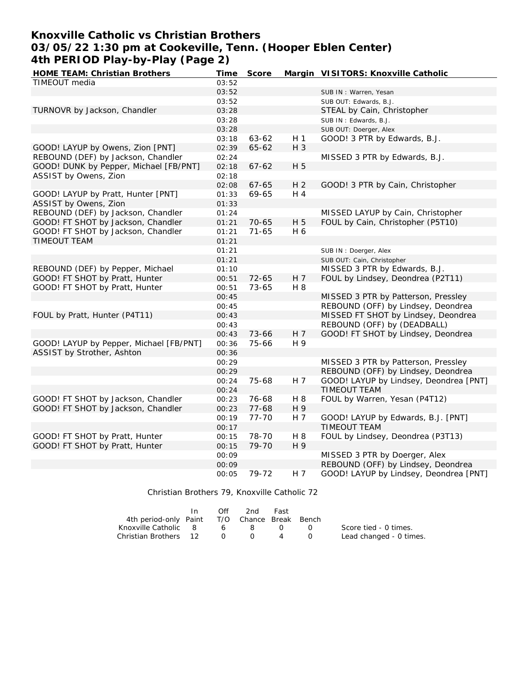## **Knoxville Catholic vs Christian Brothers 03/05/22 1:30 pm at Cookeville, Tenn. (Hooper Eblen Center) 4th PERIOD Play-by-Play (Page 2)**

| HOME TEAM: Christian Brothers           | Time  | Score     |                | Margin VISITORS: Knoxville Catholic    |
|-----------------------------------------|-------|-----------|----------------|----------------------------------------|
| TIMEOUT media                           | 03:52 |           |                |                                        |
|                                         | 03:52 |           |                | SUB IN: Warren, Yesan                  |
|                                         | 03:52 |           |                | SUB OUT: Edwards, B.J.                 |
| TURNOVR by Jackson, Chandler            | 03:28 |           |                | STEAL by Cain, Christopher             |
|                                         | 03:28 |           |                | SUB IN: Edwards, B.J.                  |
|                                         | 03:28 |           |                | SUB OUT: Doerger, Alex                 |
|                                         | 03:18 | 63-62     | H 1            | GOOD! 3 PTR by Edwards, B.J.           |
| GOOD! LAYUP by Owens, Zion [PNT]        | 02:39 | 65-62     | $H_3$          |                                        |
| REBOUND (DEF) by Jackson, Chandler      | 02:24 |           |                | MISSED 3 PTR by Edwards, B.J.          |
| GOOD! DUNK by Pepper, Michael [FB/PNT]  | 02:18 | $67 - 62$ | H 5            |                                        |
| ASSIST by Owens, Zion                   | 02:18 |           |                |                                        |
|                                         | 02:08 | $67 - 65$ | H <sub>2</sub> | GOOD! 3 PTR by Cain, Christopher       |
| GOOD! LAYUP by Pratt, Hunter [PNT]      | 01:33 | 69-65     | H 4            |                                        |
| ASSIST by Owens, Zion                   | 01:33 |           |                |                                        |
| REBOUND (DEF) by Jackson, Chandler      | 01:24 |           |                | MISSED LAYUP by Cain, Christopher      |
| GOOD! FT SHOT by Jackson, Chandler      | 01:21 | $70 - 65$ | H 5            | FOUL by Cain, Christopher (P5T10)      |
| GOOD! FT SHOT by Jackson, Chandler      | 01:21 | $71 - 65$ | H 6            |                                        |
| TIMEOUT TEAM                            | 01:21 |           |                |                                        |
|                                         | 01:21 |           |                | SUB IN: Doerger, Alex                  |
|                                         | 01:21 |           |                | SUB OUT: Cain, Christopher             |
| REBOUND (DEF) by Pepper, Michael        | 01:10 |           |                | MISSED 3 PTR by Edwards, B.J.          |
| GOOD! FT SHOT by Pratt, Hunter          | 00:51 | 72-65     | H 7            | FOUL by Lindsey, Deondrea (P2T11)      |
| GOOD! FT SHOT by Pratt, Hunter          | 00:51 | 73-65     | H 8            |                                        |
|                                         | 00:45 |           |                | MISSED 3 PTR by Patterson, Pressley    |
|                                         | 00:45 |           |                | REBOUND (OFF) by Lindsey, Deondrea     |
| FOUL by Pratt, Hunter (P4T11)           | 00:43 |           |                | MISSED FT SHOT by Lindsey, Deondrea    |
|                                         | 00:43 |           |                | REBOUND (OFF) by (DEADBALL)            |
|                                         | 00:43 | 73-66     | H <sub>7</sub> | GOOD! FT SHOT by Lindsey, Deondrea     |
| GOOD! LAYUP by Pepper, Michael [FB/PNT] | 00:36 | 75-66     | H 9            |                                        |
| ASSIST by Strother, Ashton              | 00:36 |           |                |                                        |
|                                         | 00:29 |           |                | MISSED 3 PTR by Patterson, Pressley    |
|                                         | 00:29 |           |                | REBOUND (OFF) by Lindsey, Deondrea     |
|                                         | 00:24 | 75-68     | H 7            | GOOD! LAYUP by Lindsey, Deondrea [PNT] |
|                                         | 00:24 |           |                | TIMEOUT TEAM                           |
| GOOD! FT SHOT by Jackson, Chandler      | 00:23 | 76-68     | H 8            | FOUL by Warren, Yesan (P4T12)          |
| GOOD! FT SHOT by Jackson, Chandler      | 00:23 | $77 - 68$ | H 9            |                                        |
|                                         | 00:19 | $77 - 70$ | H 7            | GOOD! LAYUP by Edwards, B.J. [PNT]     |
|                                         | 00:17 |           |                | TIMEOUT TEAM                           |
| GOOD! FT SHOT by Pratt, Hunter          | 00:15 | 78-70     | H 8            | FOUL by Lindsey, Deondrea (P3T13)      |
| GOOD! FT SHOT by Pratt, Hunter          | 00:15 | 79-70     | H 9            |                                        |
|                                         | 00:09 |           |                | MISSED 3 PTR by Doerger, Alex          |
|                                         | 00:09 |           |                | REBOUND (OFF) by Lindsey, Deondrea     |
|                                         | 00:05 | 79-72     | H 7            | GOOD! LAYUP by Lindsey, Deondrea [PNT] |
|                                         |       |           |                |                                        |

#### Christian Brothers 79, Knoxville Catholic 72

|                                              | $\mathsf{In}$ | Off            | -2nd   | Fast           |                  |                         |
|----------------------------------------------|---------------|----------------|--------|----------------|------------------|-------------------------|
| 4th period-only Paint T/O Chance Break Bench |               |                |        |                |                  |                         |
| Knoxville Catholic 8                         |               |                | 68     | $\cap$         | $\Box$           | Score tied - 0 times.   |
| Christian Brothers 12                        |               | $\overline{O}$ | $\cap$ | $\overline{4}$ | $\left( \right)$ | Lead changed - 0 times. |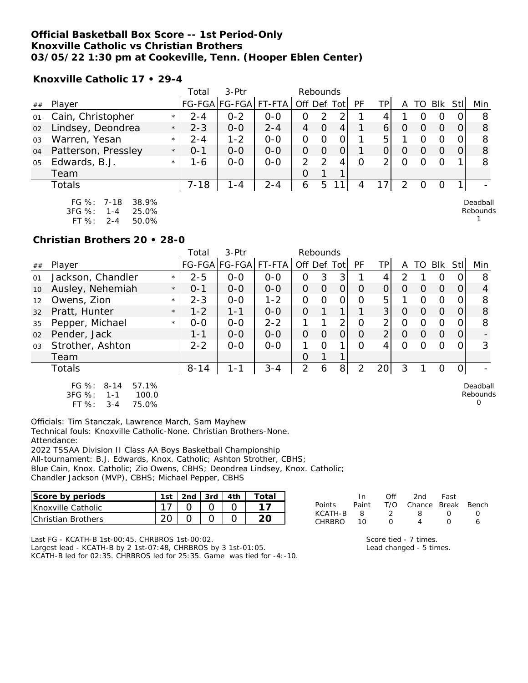### **Official Basketball Box Score -- 1st Period-Only Knoxville Catholic vs Christian Brothers 03/05/22 1:30 pm at Cookeville, Tenn. (Hooper Eblen Center)**

**Knoxville Catholic 17 • 29-4**

|                |                                                                                           |         | Total    | 3-Ptr                |         | Rebounds |               |      |    |                       |   |          |          |     |                      |
|----------------|-------------------------------------------------------------------------------------------|---------|----------|----------------------|---------|----------|---------------|------|----|-----------------------|---|----------|----------|-----|----------------------|
| ##             | Player                                                                                    |         |          | FG-FGA FG-FGA FT-FTA |         | Off Def  |               | Totl | PF | TP <sub>1</sub>       | A | TO       | Blk      | Stl | Min                  |
| 01             | Cain, Christopher                                                                         | $\star$ | $2 - 4$  | $0 - 2$              | $0 - 0$ | 0        | 2             | ⌒    |    |                       |   | O        | Ω        |     | 8                    |
| 02             | Lindsey, Deondrea                                                                         | $\star$ | $2 - 3$  | $O-O$                | $2 - 4$ | 4        | 0             | 4    |    | 6                     | O | Ω        | $\Omega$ |     | 8                    |
| 03             | Warren, Yesan                                                                             | $\star$ | $2 - 4$  | $1 - 2$              | $O - O$ | 0        | 0             | 0    |    | 5.                    |   | Ω        | O        |     | 8                    |
| 04             | Patterson, Pressley                                                                       | $\star$ | $0 - 1$  | $0 - 0$              | $0 - 0$ | 0        | O             | Ο    |    | 0                     | O | $\Omega$ | O        |     | 8                    |
| 0 <sub>5</sub> | Edwards, B.J.                                                                             | $\star$ | 1-6      | $0 - 0$              | $0 - 0$ | 2        | $\mathcal{P}$ | 4    | Ω  | $\mathcal{D}_{\perp}$ | 0 | Ω        | $\Omega$ |     | 8                    |
|                | Team                                                                                      |         |          |                      |         | 0        |               |      |    |                       |   |          |          |     |                      |
|                | Totals                                                                                    |         | $7 - 18$ | $1 - 4$              | $2 - 4$ | 6        | 5             | 111  | 4  |                       | 2 | O        | O        |     |                      |
|                | FG %: 7-18<br>38.9%<br>$3FG \%$<br>25.0%<br>1-4<br>ET O.<br>$E \cap \Omega$<br>$2\lambda$ |         |          |                      |         |          |               |      |    |                       |   |          |          |     | Deadball<br>Rebounds |

FT %: 2-4 50.0%

#### **Christian Brothers 20 • 28-0**

|    |                                                          |         | Total    | $3-$ Ptr      |         | Rebounds       |          |      |          |                |               |    |                |          |                      |
|----|----------------------------------------------------------|---------|----------|---------------|---------|----------------|----------|------|----------|----------------|---------------|----|----------------|----------|----------------------|
| ## | Player                                                   |         |          | FG-FGA FG-FGA | FT-FTA  | Off Def        |          | Totl | PF       | TP.            |               | TO | <b>Blk</b>     | Stll     | Min                  |
| 01 | Jackson, Chandler                                        | $\star$ | $2 - 5$  | $0-0$         | $0 - 0$ | O              | 3        | 3    |          | 4              | $\mathcal{P}$ |    | 0              |          | 8                    |
| 10 | Ausley, Nehemiah                                         | $\star$ | $0 - 1$  | $0 - 0$       | $0 - 0$ | 0              | O        | 0    | O        | Ο              | Ο             | Ő  | $\Omega$       |          | 4                    |
| 12 | Owens, Zion                                              | $\star$ | $2 - 3$  | $0 - 0$       | $1 - 2$ | 0              | Ω        | O    | $\Omega$ | 5              |               | Ω  | 0              |          | 8                    |
| 32 | Pratt, Hunter                                            | $\star$ | $1 - 2$  | $1 - 1$       | $0 - 0$ | $\overline{O}$ |          | 1    |          | 3              | 0             | Ω  | $\Omega$       | Ω        | 8                    |
| 35 | Pepper, Michael                                          | $\star$ | $0 - 0$  | $0-0$         | $2 - 2$ |                |          | 2    | $\Omega$ | 2              | Ω             | ი  | $\overline{0}$ |          | 8                    |
| 02 | Pender, Jack                                             |         | $1 - 1$  | $0 - 0$       | $0 - 0$ | 0              | $\Omega$ | 0    | $\Omega$ | $\overline{2}$ | Ω             | 0  | $\Omega$       | $\Omega$ |                      |
| 03 | Strother, Ashton                                         |         | $2 - 2$  | $0 - 0$       | $0 - 0$ | 1.             | 0        | 1    | 0        | 4              | Ω             | ∩  | Ω              |          | 3                    |
|    | Team                                                     |         |          |               |         | O              |          |      |          |                |               |    |                |          |                      |
|    | Totals                                                   |         | $8 - 14$ | 1-1           | $3 - 4$ | $\overline{2}$ | 6        | 8    | 2        | 20             | 3             |    | 0              |          |                      |
|    | FG %:<br>57.1%<br>$8 - 14$<br>3FG %:<br>100.0<br>$1 - 1$ |         |          |               |         |                |          |      |          |                |               |    |                |          | Deadball<br>Rebounds |

FT %: 3-4 75.0%

Officials: Tim Stanczak, Lawrence March, Sam Mayhew Technical fouls: Knoxville Catholic-None. Christian Brothers-None. Attendance:

2022 TSSAA Division II Class AA Boys Basketball Championship All-tournament: B.J. Edwards, Knox. Catholic; Ashton Strother, CBHS; Blue Cain, Knox. Catholic; Zio Owens, CBHS; Deondrea Lindsey, Knox. Catholic; Chandler Jackson (MVP), CBHS; Michael Pepper, CBHS

| Score by periods          | 1st | 2nd 3rd L | .4th | Total |
|---------------------------|-----|-----------|------|-------|
| <b>Knoxville Catholic</b> |     |           |      |       |
| <b>Christian Brothers</b> |     |           |      |       |

|              | $\ln$ | Off | 2nd                    | Fast             |  |
|--------------|-------|-----|------------------------|------------------|--|
| Points Paint |       |     | T/O Chance Break Bench |                  |  |
| KCATH-B      | - 8   |     | 8.                     | $\left( \right)$ |  |
| CHRBRO       | 1 O   |     |                        |                  |  |

Last FG - KCATH-B 1st-00:45, CHRBROS 1st-00:02. Largest lead - KCATH-B by 2 1st-07:48, CHRBROS by 3 1st-01:05.

KCATH-B led for 02:35. CHRBROS led for 25:35. Game was tied for -4:-10.

Score tied - 7 times. Lead changed - 5 times.  $\Omega$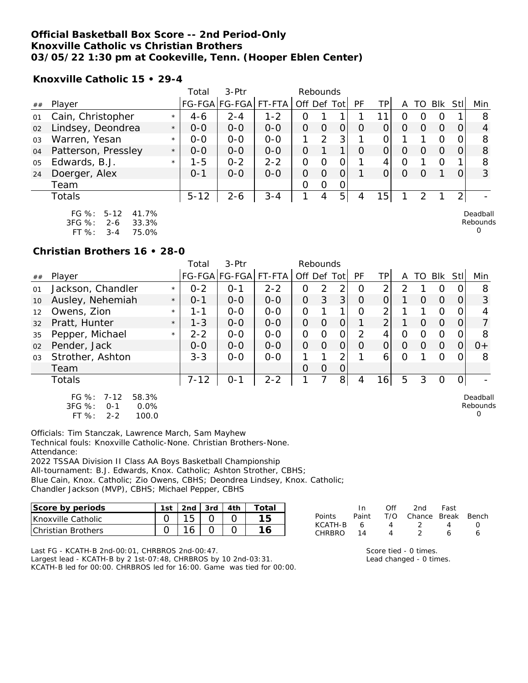## **Official Basketball Box Score -- 2nd Period-Only Knoxville Catholic vs Christian Brothers 03/05/22 1:30 pm at Cookeville, Tenn. (Hooper Eblen Center)**

**Knoxville Catholic 15 • 29-4**

|    |                                                                                          |         | Total    | 3-Ptr         |         | Rebounds       |               |                |          |          |          |               |            |                |                           |
|----|------------------------------------------------------------------------------------------|---------|----------|---------------|---------|----------------|---------------|----------------|----------|----------|----------|---------------|------------|----------------|---------------------------|
| ## | Player                                                                                   |         |          | FG-FGA FG-FGA | FT-FTA  | Off Def Tot    |               |                | PF       | TP       | A        | TO            | <b>BIK</b> | Stll           | Min                       |
| 01 | Cain, Christopher                                                                        | $\star$ | $4-6$    | $2 - 4$       | $1 - 2$ | 0              |               |                |          |          | Ω        | Ω             | O          |                | 8                         |
| 02 | Lindsey, Deondrea                                                                        | $\star$ | $0 - 0$  | $0 - 0$       | $0 - 0$ | 0              | $\Omega$      | $\overline{O}$ | $\Omega$ | 0        | $\Omega$ | $\Omega$      | $\Omega$   | $\Omega$       | 4                         |
| 03 | Warren, Yesan                                                                            | $\star$ | $0 - 0$  | $0 - 0$       | $0 - 0$ | 1              | $\mathcal{P}$ | 3              |          | O        |          |               | O          | 0              | 8                         |
| 04 | Patterson, Pressley                                                                      | $\star$ | $0 - 0$  | $0 - 0$       | $0 - 0$ | $\overline{O}$ |               |                | $\Omega$ | 0        | 0        | $\left($      | O          | 0              | 8                         |
| 05 | Edwards, B.J.                                                                            | $\star$ | 1-5      | $0 - 2$       | $2 - 2$ | O              | O             | $\overline{O}$ |          | 4        | O        |               | O          |                | 8                         |
| 24 | Doerger, Alex                                                                            |         | $0 - 1$  | $0 - 0$       | $0 - 0$ | 0              | $\Omega$      | $\overline{O}$ |          | $\Omega$ | $\Omega$ | $\Omega$      |            | 0              | 3                         |
|    | Team                                                                                     |         |          |               |         | 0              | $\Omega$      | 0              |          |          |          |               |            |                |                           |
|    | Totals                                                                                   |         | $5 - 12$ | $2 - 6$       | $3 - 4$ |                | 4             | 5              | 4        | 15       |          | $\mathcal{P}$ |            | 2 <sub>1</sub> |                           |
|    | FG $%$ :<br>$5 - 12$<br>41.7%<br>$3FG \%$<br>33.3%<br>$2 - 6$<br>FT%<br>75.0%<br>$3 - 4$ |         |          |               |         |                |               |                |          |          |          |               |            |                | Deadball<br>Rebounds<br>0 |

## **Christian Brothers 16 • 28-0**

|    |                                                                                          |         | Total    | 3-Ptr                |         | Rebounds       |          |                |           |                |          |          |          |              |                           |
|----|------------------------------------------------------------------------------------------|---------|----------|----------------------|---------|----------------|----------|----------------|-----------|----------------|----------|----------|----------|--------------|---------------------------|
| ## | Player                                                                                   |         |          | FG-FGA FG-FGA FT-FTA |         | Off Def Tot    |          |                | <b>PF</b> | ΤP             | A        | TO.      | Blk      | -StII        | Min                       |
| 01 | Jackson, Chandler                                                                        | $\star$ | $0 - 2$  | $0 - 1$              | $2 - 2$ | Ο              | 2        | 2              | 0         | 2              | 2        |          | O        |              | 8                         |
| 10 | Ausley, Nehemiah                                                                         | $\star$ | $0 - 1$  | $0 - 0$              | $0 - 0$ | $\overline{O}$ | 3        | 3 <sup>1</sup> | $\Omega$  | $\overline{O}$ |          | 0        | $\Omega$ | $\Omega$     | 3                         |
| 12 | Owens, Zion                                                                              | $\star$ | 1-1      | $0 - 0$              | $0 - 0$ | $\overline{O}$ |          |                | Ω         | 2              |          |          | O        | $\Omega$     | 4                         |
| 32 | Pratt, Hunter                                                                            | $\star$ | $1 - 3$  | $0 - 0$              | $0 - 0$ | 0              | $\Omega$ | 0              |           | $\overline{2}$ |          | $\Omega$ | $\Omega$ | 0            |                           |
| 35 | Pepper, Michael                                                                          | $\star$ | $2 - 2$  | $0 - 0$              | $0-0$   | $\overline{O}$ | O        | $\Omega$       | 2         | 4              | O        | Ω        | 0        | 0            | 8                         |
| 02 | Pender, Jack                                                                             |         | $0 - 0$  | $0-0$                | $0-0$   | $\overline{O}$ | $\Omega$ | $\Omega$       | $\Omega$  | $\Omega$       | $\Omega$ | $\Omega$ | $\Omega$ | $\Omega$     | $0+$                      |
| 03 | Strother, Ashton                                                                         |         | $3 - 3$  | $0-0$                | $0 - 0$ |                |          | $\overline{2}$ |           | 6              | O        |          | O        | 0            | 8                         |
|    | Team                                                                                     |         |          |                      |         | $\Omega$       | 0        | $\vert$ 0      |           |                |          |          |          |              |                           |
|    | Totals                                                                                   |         | $7 - 12$ | $0 - 1$              | $2 - 2$ |                |          | 8 <sup>1</sup> | 4         | 16             | 5        | 3        | O        | <sup>O</sup> |                           |
|    | $FG \%$ :<br>$7 - 12$<br>58.3%<br>3FG %:<br>$O - 1$<br>0.0%<br>FT %:<br>100.0<br>$2 - 2$ |         |          |                      |         |                |          |                |           |                |          |          |          |              | Deadball<br>Rebounds<br>0 |

Officials: Tim Stanczak, Lawrence March, Sam Mayhew Technical fouls: Knoxville Catholic-None. Christian Brothers-None. Attendance:

2022 TSSAA Division II Class AA Boys Basketball Championship All-tournament: B.J. Edwards, Knox. Catholic; Ashton Strother, CBHS; Blue Cain, Knox. Catholic; Zio Owens, CBHS; Deondrea Lindsey, Knox. Catholic; Chandler Jackson (MVP), CBHS; Michael Pepper, CBHS

| Score by periods          |  | 2nd $\frac{1}{3}$ 3rd $\frac{1}{4}$ 4th | Total. |
|---------------------------|--|-----------------------------------------|--------|
| <b>Knoxville Catholic</b> |  |                                         |        |
| Christian Brothers        |  |                                         |        |

|         | In.   | Off | 2nd -                  | Fast              |                  |
|---------|-------|-----|------------------------|-------------------|------------------|
| Points  | Paint |     | T/O Chance Break Bench |                   |                  |
| KCATH-B | 6     | 4   | $\overline{2}$         | $\mathbf{\Delta}$ | $\left( \right)$ |
| CHRBRO  | 14    | Δ   |                        | 6                 | А                |
|         |       |     |                        |                   |                  |

Last FG - KCATH-B 2nd-00:01, CHRBROS 2nd-00:47. Largest lead - KCATH-B by 2 1st-07:48, CHRBROS by 10 2nd-03:31. KCATH-B led for 00:00. CHRBROS led for 16:00. Game was tied for 00:00.

| Score tied - 0 times.   |
|-------------------------|
| Lead changed - 0 times. |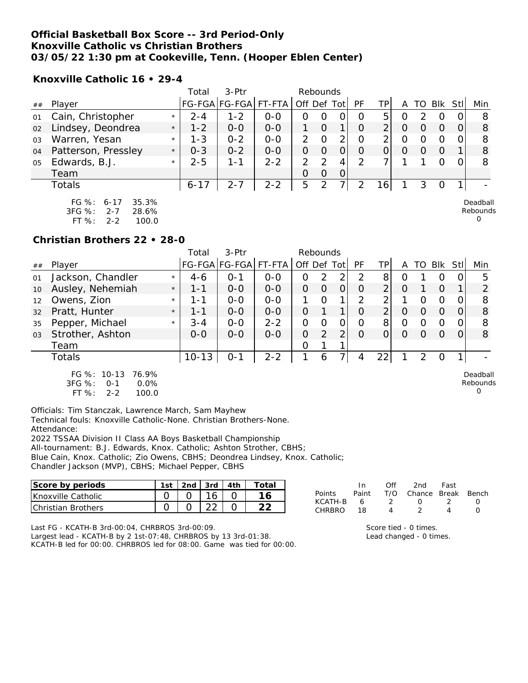### **Official Basketball Box Score -- 3rd Period-Only Knoxville Catholic vs Christian Brothers 03/05/22 1:30 pm at Cookeville, Tenn. (Hooper Eblen Center)**

**Knoxville Catholic 16 • 29-4**

|                |                                                                                               |         | Total    | 3-Ptr                 |         | Rebounds      |          |   |           |                 |   |   |                  |                                  |
|----------------|-----------------------------------------------------------------------------------------------|---------|----------|-----------------------|---------|---------------|----------|---|-----------|-----------------|---|---|------------------|----------------------------------|
| ##             | Player                                                                                        |         |          | FG-FGA FG-FGA  FT-FTA |         | Off Def Tot   |          |   | <b>PF</b> | TPI             | A |   | TO Blk Stll      | Min                              |
| 01             | Cain, Christopher                                                                             | $\star$ | $2 - 4$  | $1 - 2$               | $0-0$   | O             | 0        | 0 | 0         | 5               | O | っ | O                | 8                                |
| 02             | Lindsey, Deondrea                                                                             | $\star$ | $1 - 2$  | $0 - 0$               | $0 - 0$ |               | $\Omega$ | 1 | O         | $\overline{2}$  | O |   | $\left( \right)$ | 8                                |
| 0 <sub>3</sub> | Warren, Yesan                                                                                 | $\star$ | $1 - 3$  | $0 - 2$               | $0 - 0$ | 2             | $\Omega$ | 2 | O         | 2               | Ω |   | Ω                | 8                                |
| 04             | Patterson, Pressley                                                                           | $\star$ | $0 - 3$  | $0 - 2$               | $0-0$   | 0             | $\Omega$ | 0 | O         |                 | O |   | $\Omega$         | 8                                |
| 05             | Edwards, B.J.                                                                                 | $\star$ | $2 - 5$  | 1-1                   | $2 - 2$ | $\mathcal{P}$ | 2        | 4 | 2         |                 |   |   | 0                | 8                                |
|                | Team                                                                                          |         |          |                       |         | $\Omega$      | $\Omega$ | 0 |           |                 |   |   |                  |                                  |
|                | Totals                                                                                        |         | $6 - 17$ | $2 - 7$               | $2 - 2$ | 5             | 2        | 7 | 2         | 16 <sub>1</sub> |   | 3 | 0                |                                  |
|                | FG $\%$ :<br>35.3%<br>$6 - 17$<br>3FG %:<br>$2 - 7$<br>28.6%<br>FT $\%$ :<br>100.0<br>$2 - 2$ |         |          |                       |         |               |          |   |           |                 |   |   |                  | Deadball<br>Rebounds<br>$\Omega$ |

**Christian Brothers 22 • 28-0**

|    |                                                   |         | Total     | $3-Ptr$       |         |                | Rebounds |                |          |                |          |                  |            |          |                      |
|----|---------------------------------------------------|---------|-----------|---------------|---------|----------------|----------|----------------|----------|----------------|----------|------------------|------------|----------|----------------------|
| ## | Player                                            |         |           | FG-FGA FG-FGA | FT-FTA  | Off Def        |          | Totl           | PF       | TP             |          | TO               | <b>BIK</b> | Stll     | Min                  |
| 01 | Jackson, Chandler                                 | $\star$ | $4-6$     | $0 - 1$       | $0-0$   | 0              | 2        | 2              | 2        | 8 <sup>1</sup> | O        |                  | O          | $\Omega$ | 5                    |
| 10 | Ausley, Nehemiah                                  | $\star$ | $1 - 1$   | $0 - 0$       | $0 - 0$ | 0              | 0        | $\overline{O}$ | $\Omega$ | 2              | O        |                  | O          |          | $\overline{2}$       |
| 12 | Owens, Zion                                       | $\star$ | 1-1       | $0 - 0$       | $0 - 0$ |                | O        | 1              | 2        | 2              |          |                  | O          |          | 8                    |
| 32 | Pratt, Hunter                                     | $\star$ | 1 - 1     | $0 - 0$       | $0 - 0$ | 0              |          |                | $\Omega$ | $\overline{2}$ | O        | Ő                | $\Omega$   | 0        | 8                    |
| 35 | Pepper, Michael                                   | $\star$ | $3 - 4$   | $0 - 0$       | $2 - 2$ | $\overline{O}$ | O        | 0              | $\Omega$ | 8 <sup>1</sup> | O        | $\left( \right)$ | $\Omega$   |          | 8                    |
| 03 | Strother, Ashton                                  |         | $0 - 0$   | $0 - 0$       | $0 - 0$ | 0              | 2        | 2              | $\Omega$ | 0              | $\Omega$ | $\Omega$         | $\Omega$   | $\Omega$ | 8                    |
|    | Team                                              |         |           |               |         | 0              |          |                |          |                |          |                  |            |          |                      |
|    | Totals                                            |         | $10 - 13$ | $O - 1$       | $2 - 2$ | 1              | 6        | 7.             | 4        | 22             |          | $\mathcal{D}$    | $\Omega$   |          |                      |
|    | FG %: 10-13<br>76.9%<br>3FG %:<br>0.0%<br>$O - 1$ |         |           |               |         |                |          |                |          |                |          |                  |            |          | Deadball<br>Rebounds |

FT %: 2-2 100.0

Officials: Tim Stanczak, Lawrence March, Sam Mayhew Technical fouls: Knoxville Catholic-None. Christian Brothers-None. Attendance:

2022 TSSAA Division II Class AA Boys Basketball Championship All-tournament: B.J. Edwards, Knox. Catholic; Ashton Strother, CBHS; Blue Cain, Knox. Catholic; Zio Owens, CBHS; Deondrea Lindsey, Knox. Catholic; Chandler Jackson (MVP), CBHS; Michael Pepper, CBHS

| Score by periods           |  | . 2nd   3rd   4th | ⊤ota⊫ |
|----------------------------|--|-------------------|-------|
| <b>IKnoxville Catholic</b> |  |                   |       |
| <b>Christian Brothers</b>  |  |                   |       |

|         | In.   | ∩ff | 2nd                    | Fast |  |
|---------|-------|-----|------------------------|------|--|
| Points  | Paint |     | T/O Chance Break Bench |      |  |
| KCATH-B | 6     |     | $\left( \right)$       |      |  |
| CHRRRO  | 18.   |     |                        |      |  |

Last FG - KCATH-B 3rd-00:04, CHRBROS 3rd-00:09.

Largest lead - KCATH-B by 2 1st-07:48, CHRBROS by 13 3rd-01:38. KCATH-B led for 00:00. CHRBROS led for 08:00. Game was tied for 00:00.

Score tied - 0 times. Lead changed - 0 times. 0